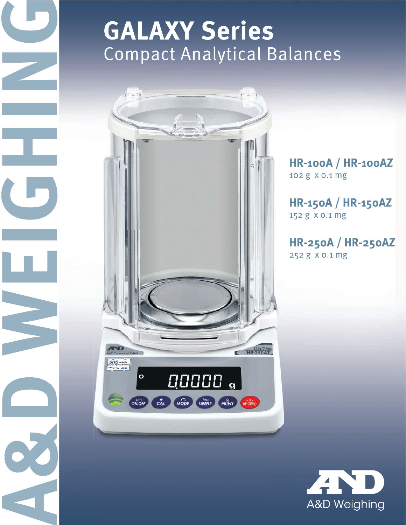# **GALAXY Series Compact Analytical Balances**



 $\sqrt{2}$ 

**HR-100A / HR-100AZ** 102 g x 0.1 mg

**HR-150A / HR-150AZ** 152 g x 0.1 mg

**HR-250A / HR-250AZ** 252 g x 0.1 mg

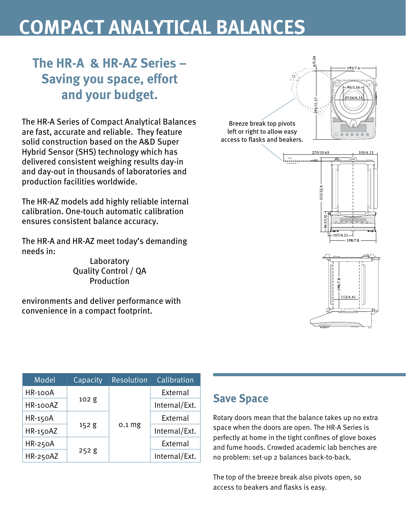## **COMPACT ANALYTICAL BALANCES**

## **The HR-A & HR-AZ Series – Saving you space, effort and your budget.**

The HR-A Series of Compact Analytical Balances are fast, accurate and reliable. They feature solid construction based on the A&D Super Hybrid Sensor (SHS) technology which has delivered consistent weighing results day-in and day-out in thousands of laboratories and production facilities worldwide.

The HR-AZ models add highly reliable internal calibration. One-touch automatic calibration ensures consistent balance accuracy.

The HR-A and HR-AZ meet today's demanding needs in:

> Laboratory Quality Control / QA Production

environments and deliver performance with convenience in a compact footprint.



| Model          | Capacity | <b>Resolution</b> | Calibration   |
|----------------|----------|-------------------|---------------|
| HR-100A        |          |                   | External      |
| HR-100AZ       | 102 g    | 0.1 <sub>mg</sub> | Internal/Ext. |
| <b>HR-150A</b> |          |                   | External      |
| HR-150AZ       | 152g     |                   | Internal/Ext. |
| <b>HR-250A</b> |          |                   | External      |
| HR-250AZ       | 252g     |                   | Internal/Ext. |

#### **Save Space**

Rotary doors mean that the balance takes up no extra space when the doors are open. The HR-A Series is perfectly at home in the tight confines of glove boxes and fume hoods. Crowded academic lab benches are no problem: set-up 2 balances back-to-back.

The top of the breeze break also pivots open, so access to beakers and flasks is easy.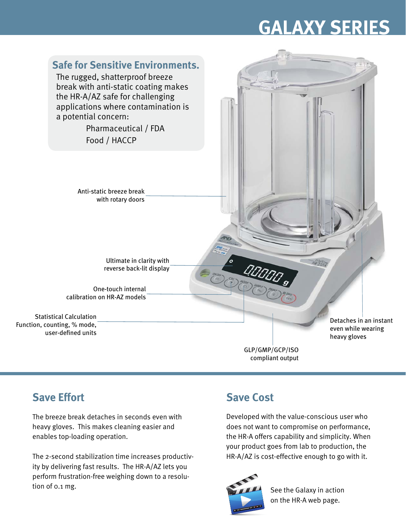# **GALAXY SERIES**



compliant output

### **Save Effort**

The breeze break detaches in seconds even with heavy gloves. This makes cleaning easier and enables top-loading operation.

The 2-second stabilization time increases productivity by delivering fast results. The HR-A/AZ lets you perform frustration-free weighing down to a resolution of 0.1 mg.

## **Save Cost**

Developed with the value-conscious user who does not want to compromise on performance, the HR-A offers capability and simplicity. When your product goes from lab to production, the HR-A/AZ is cost-effective enough to go with it.



See the Galaxy in action on the HR-A web page.